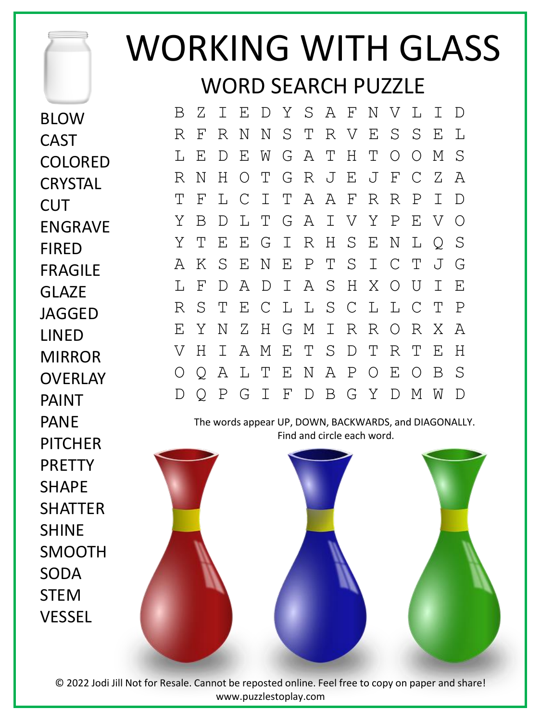## WORKING WITH GLASS WORD SEARCH PUZZLE

The words appear UP, DOWN, BACKWARDS, and DIAGONALLY. Find and circle each word. BLOW **CAST** COLORED **CRYSTAL** CUT ENGRAVE FIRED FRAGILE GLAZE JAGGED LINED MIRROR OVERLAY PAINT PANE **PITCHFR** PRETTY SHAPE **SHATTER** SHINE SMOOTH SODA STEM VESSEL B Z I E D Y S A F N V L I D R F R N N S T R V E S S E L L E D E W G A T H T O O M S R N H O T G R J E J F C Z A T F L C I T A A F R R P I D Y B D L T G A I V Y P E V O Y T E E G I R H S E N L Q S A K S E N E P T S I C T J G L F D A D I A S H X O U I E R S T E C L L S C L L C T P E Y N Z H G M I R R O R X A V H I A M E T S D T R T E H O Q A L T E N A P O E O B S D Q P G I F D B G Y D M W D

© 2022 Jodi Jill Not for Resale. Cannot be reposted online. Feel free to copy on paper and share! www.puzzlestoplay.com